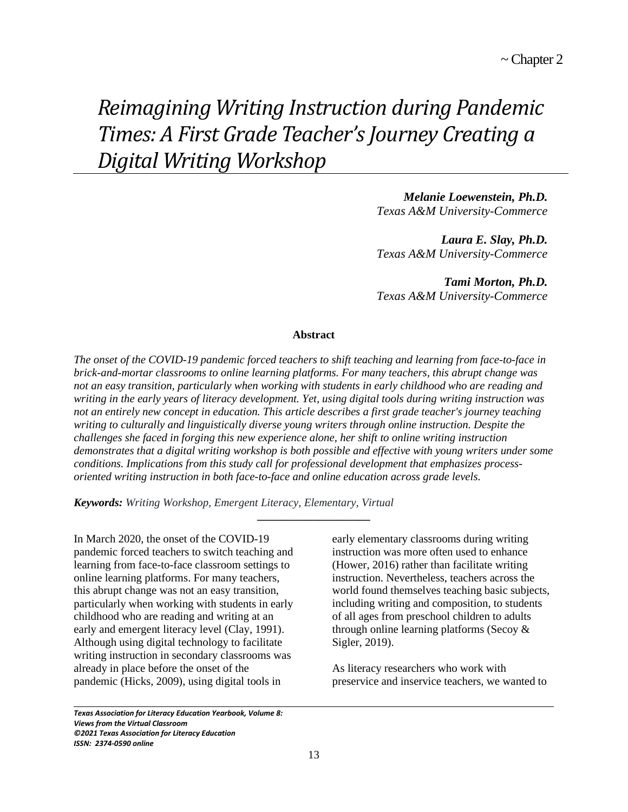# *Reimagining Writing Instruction during Pandemic Times: A First Grade Teacher's Journey Creating a Digital Writing Workshop*

*Melanie Loewenstein, Ph.D. Texas A&M University-Commerce*

*Laura E. Slay, Ph.D. Texas A&M University-Commerce*

*Tami Morton, Ph.D. Texas A&M University-Commerce*

#### **Abstract**

*The onset of the COVID-19 pandemic forced teachers to shift teaching and learning from face-to-face in brick-and-mortar classrooms to online learning platforms. For many teachers, this abrupt change was not an easy transition, particularly when working with students in early childhood who are reading and writing in the early years of literacy development. Yet, using digital tools during writing instruction was not an entirely new concept in education. This article describes a first grade teacher's journey teaching writing to culturally and linguistically diverse young writers through online instruction. Despite the challenges she faced in forging this new experience alone, her shift to online writing instruction demonstrates that a digital writing workshop is both possible and effective with young writers under some conditions. Implications from this study call for professional development that emphasizes processoriented writing instruction in both face-to-face and online education across grade levels.* 

**\_\_\_\_\_\_\_\_\_\_\_\_\_\_\_\_\_\_\_\_**

*Keywords: Writing Workshop, Emergent Literacy, Elementary, Virtual*

In March 2020, the onset of the COVID-19 pandemic forced teachers to switch teaching and learning from face-to-face classroom settings to online learning platforms. For many teachers, this abrupt change was not an easy transition, particularly when working with students in early childhood who are reading and writing at an early and emergent literacy level (Clay, 1991). Although using digital technology to facilitate writing instruction in secondary classrooms was already in place before the onset of the pandemic (Hicks, 2009), using digital tools in

early elementary classrooms during writing instruction was more often used to enhance (Hower, 2016) rather than facilitate writing instruction. Nevertheless, teachers across the world found themselves teaching basic subjects, including writing and composition, to students of all ages from preschool children to adults through online learning platforms (Secoy & Sigler, 2019).

As literacy researchers who work with preservice and inservice teachers, we wanted to

*Texas Association for Literacy Education Yearbook, Volume 8: Views from the Virtual Classroom ©2021 Texas Association for Literacy Education ISSN: 2374-0590 online*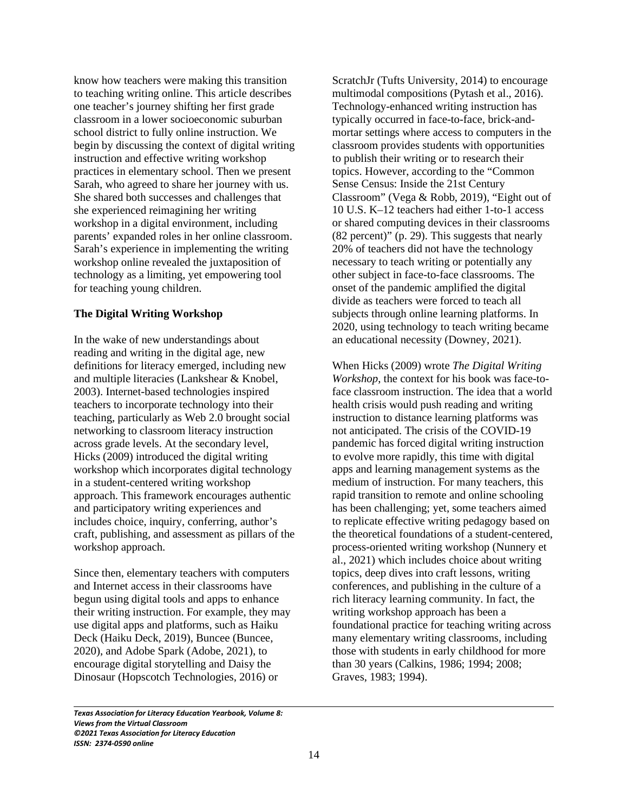know how teachers were making this transition to teaching writing online. This article describes one teacher's journey shifting her first grade classroom in a lower socioeconomic suburban school district to fully online instruction. We begin by discussing the context of digital writing instruction and effective writing workshop practices in elementary school. Then we present Sarah, who agreed to share her journey with us. She shared both successes and challenges that she experienced reimagining her writing workshop in a digital environment, including parents' expanded roles in her online classroom. Sarah's experience in implementing the writing workshop online revealed the juxtaposition of technology as a limiting, yet empowering tool for teaching young children.

#### **The Digital Writing Workshop**

In the wake of new understandings about reading and writing in the digital age, new definitions for literacy emerged, including new and multiple literacies (Lankshear & Knobel, 2003). Internet-based technologies inspired teachers to incorporate technology into their teaching, particularly as Web 2.0 brought social networking to classroom literacy instruction across grade levels. At the secondary level, Hicks (2009) introduced the digital writing workshop which incorporates digital technology in a student-centered writing workshop approach. This framework encourages authentic and participatory writing experiences and includes choice, inquiry, conferring, author's craft, publishing, and assessment as pillars of the workshop approach.

Since then, elementary teachers with computers and Internet access in their classrooms have begun using digital tools and apps to enhance their writing instruction. For example, they may use digital apps and platforms, such as Haiku Deck (Haiku Deck, 2019), Buncee (Buncee, 2020), and Adobe Spark (Adobe, 2021), to encourage digital storytelling and Daisy the Dinosaur (Hopscotch Technologies, 2016) or

ScratchJr (Tufts University, 2014) to encourage multimodal compositions (Pytash et al., 2016). Technology-enhanced writing instruction has typically occurred in face-to-face, brick-andmortar settings where access to computers in the classroom provides students with opportunities to publish their writing or to research their topics. However, according to the "Common Sense Census: Inside the 21st Century Classroom" (Vega & Robb, 2019), "Eight out of 10 U.S. K–12 teachers had either 1-to-1 access or shared computing devices in their classrooms (82 percent)" (p. 29). This suggests that nearly 20% of teachers did not have the technology necessary to teach writing or potentially any other subject in face-to-face classrooms. The onset of the pandemic amplified the digital divide as teachers were forced to teach all subjects through online learning platforms. In 2020, using technology to teach writing became an educational necessity (Downey, 2021).

When Hicks (2009) wrote *The Digital Writing Workshop*, the context for his book was face-toface classroom instruction. The idea that a world health crisis would push reading and writing instruction to distance learning platforms was not anticipated. The crisis of the COVID-19 pandemic has forced digital writing instruction to evolve more rapidly, this time with digital apps and learning management systems as the medium of instruction. For many teachers, this rapid transition to remote and online schooling has been challenging; yet, some teachers aimed to replicate effective writing pedagogy based on the theoretical foundations of a student-centered, process-oriented writing workshop (Nunnery et al., 2021) which includes choice about writing topics, deep dives into craft lessons, writing conferences, and publishing in the culture of a rich literacy learning community. In fact, the writing workshop approach has been a foundational practice for teaching writing across many elementary writing classrooms, including those with students in early childhood for more than 30 years (Calkins, 1986; 1994; 2008; Graves, 1983; 1994).

*Texas Association for Literacy Education Yearbook, Volume 8: Views from the Virtual Classroom ©2021 Texas Association for Literacy Education ISSN: 2374-0590 online*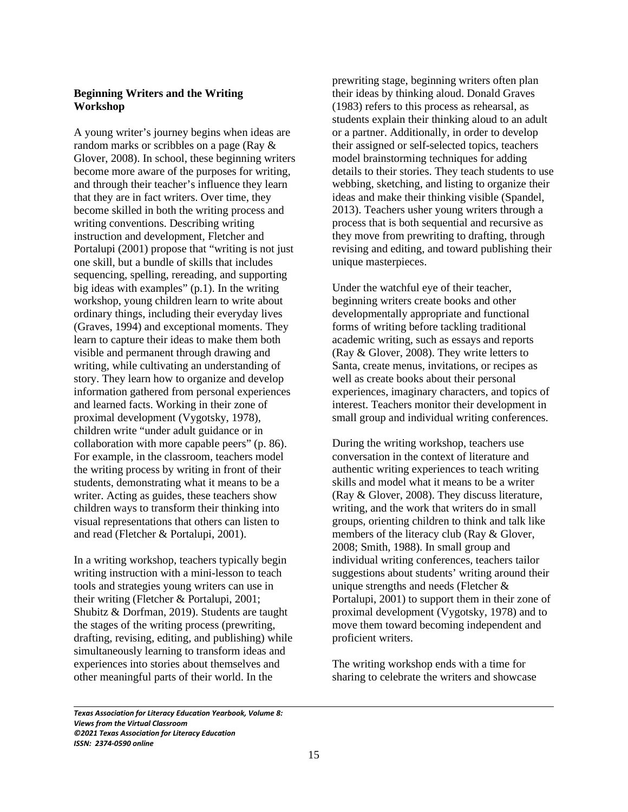# **Beginning Writers and the Writing Workshop**

A young writer's journey begins when ideas are random marks or scribbles on a page (Ray & Glover, 2008). In school, these beginning writers become more aware of the purposes for writing, and through their teacher's influence they learn that they are in fact writers. Over time, they become skilled in both the writing process and writing conventions. Describing writing instruction and development, Fletcher and Portalupi (2001) propose that "writing is not just one skill, but a bundle of skills that includes sequencing, spelling, rereading, and supporting big ideas with examples" (p.1). In the writing workshop, young children learn to write about ordinary things, including their everyday lives (Graves, 1994) and exceptional moments. They learn to capture their ideas to make them both visible and permanent through drawing and writing, while cultivating an understanding of story. They learn how to organize and develop information gathered from personal experiences and learned facts. Working in their zone of proximal development (Vygotsky, 1978), children write "under adult guidance or in collaboration with more capable peers" (p. 86). For example, in the classroom, teachers model the writing process by writing in front of their students, demonstrating what it means to be a writer. Acting as guides, these teachers show children ways to transform their thinking into visual representations that others can listen to and read (Fletcher & Portalupi, 2001).

In a writing workshop, teachers typically begin writing instruction with a mini-lesson to teach tools and strategies young writers can use in their writing (Fletcher & Portalupi, 2001; Shubitz & Dorfman, 2019). Students are taught the stages of the writing process (prewriting, drafting, revising, editing, and publishing) while simultaneously learning to transform ideas and experiences into stories about themselves and other meaningful parts of their world. In the

prewriting stage, beginning writers often plan their ideas by thinking aloud. Donald Graves (1983) refers to this process as rehearsal, as students explain their thinking aloud to an adult or a partner. Additionally, in order to develop their assigned or self-selected topics, teachers model brainstorming techniques for adding details to their stories. They teach students to use webbing, sketching, and listing to organize their ideas and make their thinking visible (Spandel, 2013). Teachers usher young writers through a process that is both sequential and recursive as they move from prewriting to drafting, through revising and editing, and toward publishing their unique masterpieces.

Under the watchful eye of their teacher, beginning writers create books and other developmentally appropriate and functional forms of writing before tackling traditional academic writing, such as essays and reports (Ray & Glover, 2008). They write letters to Santa, create menus, invitations, or recipes as well as create books about their personal experiences, imaginary characters, and topics of interest. Teachers monitor their development in small group and individual writing conferences.

During the writing workshop, teachers use conversation in the context of literature and authentic writing experiences to teach writing skills and model what it means to be a writer (Ray & Glover, 2008). They discuss literature, writing, and the work that writers do in small groups, orienting children to think and talk like members of the literacy club (Ray & Glover, 2008; Smith, 1988). In small group and individual writing conferences, teachers tailor suggestions about students' writing around their unique strengths and needs (Fletcher & Portalupi, 2001) to support them in their zone of proximal development (Vygotsky, 1978) and to move them toward becoming independent and proficient writers.

The writing workshop ends with a time for sharing to celebrate the writers and showcase

*Texas Association for Literacy Education Yearbook, Volume 8: Views from the Virtual Classroom ©2021 Texas Association for Literacy Education ISSN: 2374-0590 online*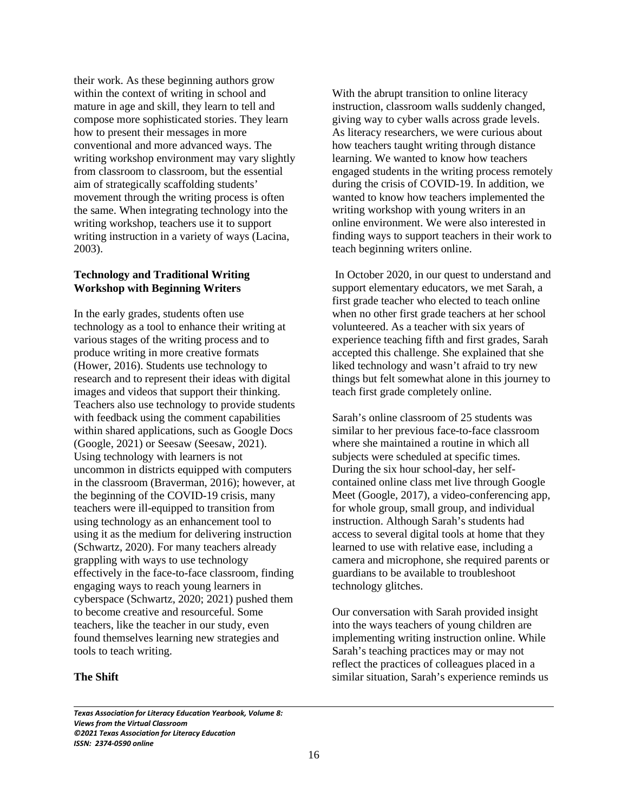their work. As these beginning authors grow within the context of writing in school and mature in age and skill, they learn to tell and compose more sophisticated stories. They learn how to present their messages in more conventional and more advanced ways. The writing workshop environment may vary slightly from classroom to classroom, but the essential aim of strategically scaffolding students' movement through the writing process is often the same. When integrating technology into the writing workshop, teachers use it to support writing instruction in a variety of ways (Lacina, 2003).

#### **Technology and Traditional Writing Workshop with Beginning Writers**

In the early grades, students often use technology as a tool to enhance their writing at various stages of the writing process and to produce writing in more creative formats (Hower, 2016). Students use technology to research and to represent their ideas with digital images and videos that support their thinking. Teachers also use technology to provide students with feedback using the comment capabilities within shared applications, such as Google Docs (Google, 2021) or Seesaw (Seesaw, 2021). Using technology with learners is not uncommon in districts equipped with computers in the classroom (Braverman, 2016); however, at the beginning of the COVID-19 crisis, many teachers were ill-equipped to transition from using technology as an enhancement tool to using it as the medium for delivering instruction (Schwartz, 2020). For many teachers already grappling with ways to use technology effectively in the face-to-face classroom, finding engaging ways to reach young learners in cyberspace (Schwartz, 2020; 2021) pushed them to become creative and resourceful. Some teachers, like the teacher in our study, even found themselves learning new strategies and tools to teach writing.

**The Shift**

 $\overline{\phantom{0}}$ 

With the abrupt transition to online literacy instruction, classroom walls suddenly changed, giving way to cyber walls across grade levels. As literacy researchers, we were curious about how teachers taught writing through distance learning. We wanted to know how teachers engaged students in the writing process remotely during the crisis of COVID-19. In addition, we wanted to know how teachers implemented the writing workshop with young writers in an online environment. We were also interested in finding ways to support teachers in their work to teach beginning writers online.

 In October 2020, in our quest to understand and support elementary educators, we met Sarah, a first grade teacher who elected to teach online when no other first grade teachers at her school volunteered. As a teacher with six years of experience teaching fifth and first grades, Sarah accepted this challenge. She explained that she liked technology and wasn't afraid to try new things but felt somewhat alone in this journey to teach first grade completely online.

Sarah's online classroom of 25 students was similar to her previous face-to-face classroom where she maintained a routine in which all subjects were scheduled at specific times. During the six hour school-day, her selfcontained online class met live through Google Meet (Google, 2017), a video-conferencing app, for whole group, small group, and individual instruction. Although Sarah's students had access to several digital tools at home that they learned to use with relative ease, including a camera and microphone, she required parents or guardians to be available to troubleshoot technology glitches.

Our conversation with Sarah provided insight into the ways teachers of young children are implementing writing instruction online. While Sarah's teaching practices may or may not reflect the practices of colleagues placed in a similar situation, Sarah's experience reminds us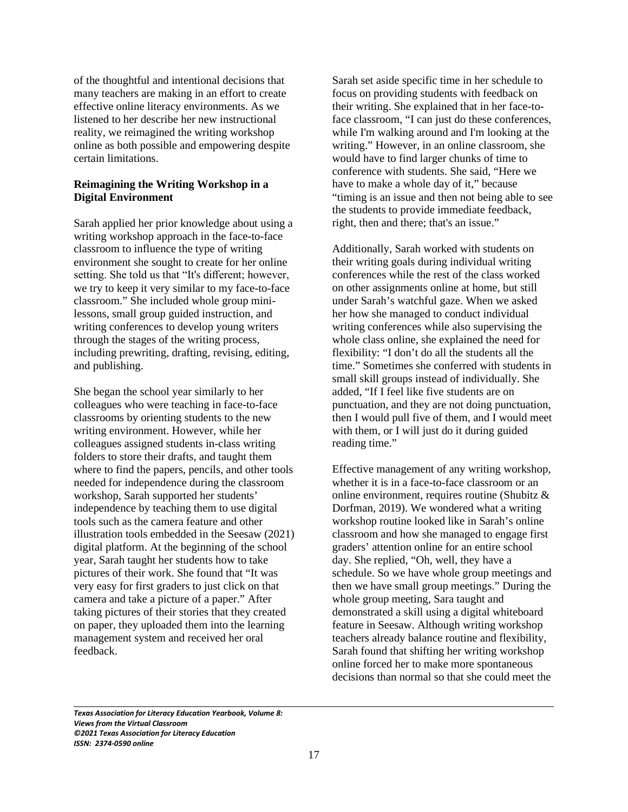of the thoughtful and intentional decisions that many teachers are making in an effort to create effective online literacy environments. As we listened to her describe her new instructional reality, we reimagined the writing workshop online as both possible and empowering despite certain limitations.

# **Reimagining the Writing Workshop in a Digital Environment**

Sarah applied her prior knowledge about using a writing workshop approach in the face-to-face classroom to influence the type of writing environment she sought to create for her online setting. She told us that "It's different; however, we try to keep it very similar to my face-to-face classroom." She included whole group minilessons, small group guided instruction, and writing conferences to develop young writers through the stages of the writing process, including prewriting, drafting, revising, editing, and publishing.

She began the school year similarly to her colleagues who were teaching in face-to-face classrooms by orienting students to the new writing environment. However, while her colleagues assigned students in-class writing folders to store their drafts, and taught them where to find the papers, pencils, and other tools needed for independence during the classroom workshop, Sarah supported her students' independence by teaching them to use digital tools such as the camera feature and other illustration tools embedded in the Seesaw (2021) digital platform. At the beginning of the school year, Sarah taught her students how to take pictures of their work. She found that "It was very easy for first graders to just click on that camera and take a picture of a paper." After taking pictures of their stories that they created on paper, they uploaded them into the learning management system and received her oral feedback.

Sarah set aside specific time in her schedule to focus on providing students with feedback on their writing. She explained that in her face-toface classroom, "I can just do these conferences, while I'm walking around and I'm looking at the writing." However, in an online classroom, she would have to find larger chunks of time to conference with students. She said, "Here we have to make a whole day of it," because "timing is an issue and then not being able to see the students to provide immediate feedback, right, then and there; that's an issue."

Additionally, Sarah worked with students on their writing goals during individual writing conferences while the rest of the class worked on other assignments online at home, but still under Sarah's watchful gaze. When we asked her how she managed to conduct individual writing conferences while also supervising the whole class online, she explained the need for flexibility: "I don't do all the students all the time." Sometimes she conferred with students in small skill groups instead of individually. She added, "If I feel like five students are on punctuation, and they are not doing punctuation, then I would pull five of them, and I would meet with them, or I will just do it during guided reading time."

Effective management of any writing workshop, whether it is in a face-to-face classroom or an online environment, requires routine (Shubitz & Dorfman, 2019). We wondered what a writing workshop routine looked like in Sarah's online classroom and how she managed to engage first graders' attention online for an entire school day. She replied, "Oh, well, they have a schedule. So we have whole group meetings and then we have small group meetings." During the whole group meeting, Sara taught and demonstrated a skill using a digital whiteboard feature in Seesaw. Although writing workshop teachers already balance routine and flexibility, Sarah found that shifting her writing workshop online forced her to make more spontaneous decisions than normal so that she could meet the

*Texas Association for Literacy Education Yearbook, Volume 8: Views from the Virtual Classroom ©2021 Texas Association for Literacy Education ISSN: 2374-0590 online*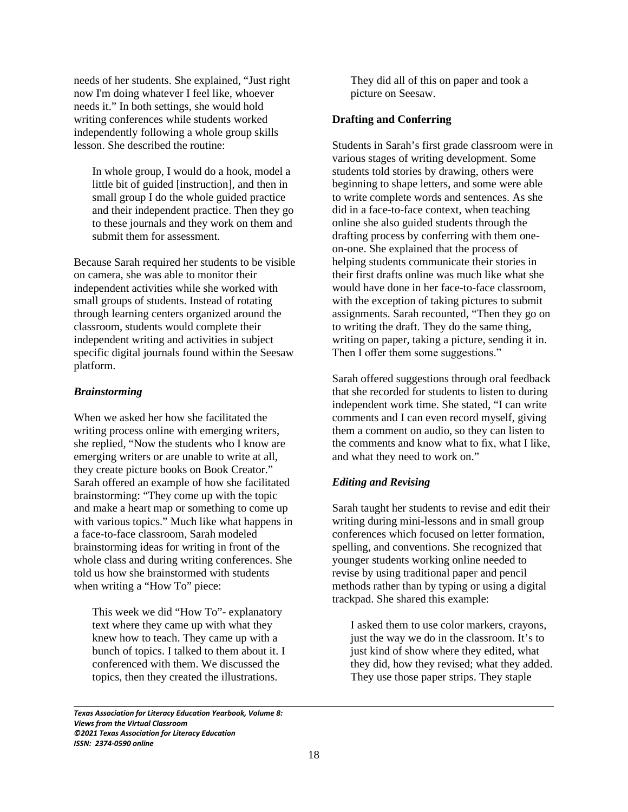needs of her students. She explained, "Just right now I'm doing whatever I feel like, whoever needs it." In both settings, she would hold writing conferences while students worked independently following a whole group skills lesson. She described the routine:

In whole group, I would do a hook, model a little bit of guided [instruction], and then in small group I do the whole guided practice and their independent practice. Then they go to these journals and they work on them and submit them for assessment.

Because Sarah required her students to be visible on camera, she was able to monitor their independent activities while she worked with small groups of students. Instead of rotating through learning centers organized around the classroom, students would complete their independent writing and activities in subject specific digital journals found within the Seesaw platform.

#### *Brainstorming*

 $\overline{\phantom{0}}$ 

When we asked her how she facilitated the writing process online with emerging writers, she replied, "Now the students who I know are emerging writers or are unable to write at all, they create picture books on Book Creator." Sarah offered an example of how she facilitated brainstorming: "They come up with the topic and make a heart map or something to come up with various topics." Much like what happens in a face-to-face classroom, Sarah modeled brainstorming ideas for writing in front of the whole class and during writing conferences. She told us how she brainstormed with students when writing a "How To" piece:

This week we did "How To"- explanatory text where they came up with what they knew how to teach. They came up with a bunch of topics. I talked to them about it. I conferenced with them. We discussed the topics, then they created the illustrations.

They did all of this on paper and took a picture on Seesaw.

## **Drafting and Conferring**

Students in Sarah's first grade classroom were in various stages of writing development. Some students told stories by drawing, others were beginning to shape letters, and some were able to write complete words and sentences. As she did in a face-to-face context, when teaching online she also guided students through the drafting process by conferring with them oneon-one. She explained that the process of helping students communicate their stories in their first drafts online was much like what she would have done in her face-to-face classroom, with the exception of taking pictures to submit assignments. Sarah recounted, "Then they go on to writing the draft. They do the same thing, writing on paper, taking a picture, sending it in. Then I offer them some suggestions."

Sarah offered suggestions through oral feedback that she recorded for students to listen to during independent work time. She stated, "I can write comments and I can even record myself, giving them a comment on audio, so they can listen to the comments and know what to fix, what I like, and what they need to work on."

## *Editing and Revising*

Sarah taught her students to revise and edit their writing during mini-lessons and in small group conferences which focused on letter formation, spelling, and conventions. She recognized that younger students working online needed to revise by using traditional paper and pencil methods rather than by typing or using a digital trackpad. She shared this example:

I asked them to use color markers, crayons, just the way we do in the classroom. It's to just kind of show where they edited, what they did, how they revised; what they added. They use those paper strips. They staple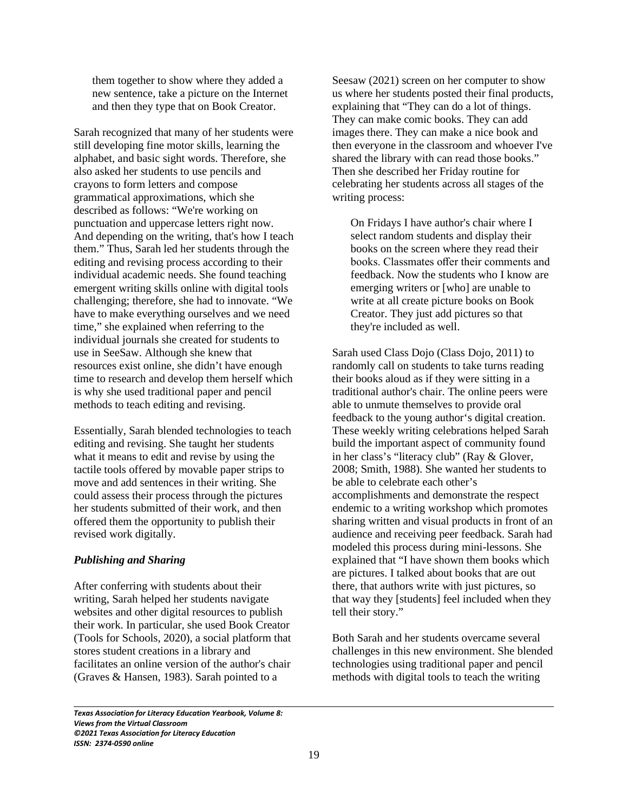them together to show where they added a new sentence, take a picture on the Internet and then they type that on Book Creator.

Sarah recognized that many of her students were still developing fine motor skills, learning the alphabet, and basic sight words. Therefore, she also asked her students to use pencils and crayons to form letters and compose grammatical approximations, which she described as follows: "We're working on punctuation and uppercase letters right now. And depending on the writing, that's how I teach them." Thus, Sarah led her students through the editing and revising process according to their individual academic needs. She found teaching emergent writing skills online with digital tools challenging; therefore, she had to innovate. "We have to make everything ourselves and we need time," she explained when referring to the individual journals she created for students to use in SeeSaw. Although she knew that resources exist online, she didn't have enough time to research and develop them herself which is why she used traditional paper and pencil methods to teach editing and revising.

Essentially, Sarah blended technologies to teach editing and revising. She taught her students what it means to edit and revise by using the tactile tools offered by movable paper strips to move and add sentences in their writing. She could assess their process through the pictures her students submitted of their work, and then offered them the opportunity to publish their revised work digitally.

## *Publishing and Sharing*

 $\overline{\phantom{0}}$ 

After conferring with students about their writing, Sarah helped her students navigate websites and other digital resources to publish their work. In particular, she used Book Creator (Tools for Schools, 2020), a social platform that stores student creations in a library and facilitates an online version of the author's chair (Graves & Hansen, 1983). Sarah pointed to a

Seesaw (2021) screen on her computer to show us where her students posted their final products, explaining that "They can do a lot of things. They can make comic books. They can add images there. They can make a nice book and then everyone in the classroom and whoever I've shared the library with can read those books." Then she described her Friday routine for celebrating her students across all stages of the writing process:

On Fridays I have author's chair where I select random students and display their books on the screen where they read their books. Classmates offer their comments and feedback. Now the students who I know are emerging writers or [who] are unable to write at all create picture books on Book Creator. They just add pictures so that they're included as well.

Sarah used Class Dojo (Class Dojo, 2011) to randomly call on students to take turns reading their books aloud as if they were sitting in a traditional author's chair. The online peers were able to unmute themselves to provide oral feedback to the young author's digital creation. These weekly writing celebrations helped Sarah build the important aspect of community found in her class's "literacy club" (Ray & Glover, 2008; Smith, 1988). She wanted her students to be able to celebrate each other's accomplishments and demonstrate the respect endemic to a writing workshop which promotes sharing written and visual products in front of an audience and receiving peer feedback. Sarah had modeled this process during mini-lessons. She explained that "I have shown them books which are pictures. I talked about books that are out there, that authors write with just pictures, so that way they [students] feel included when they tell their story."

Both Sarah and her students overcame several challenges in this new environment. She blended technologies using traditional paper and pencil methods with digital tools to teach the writing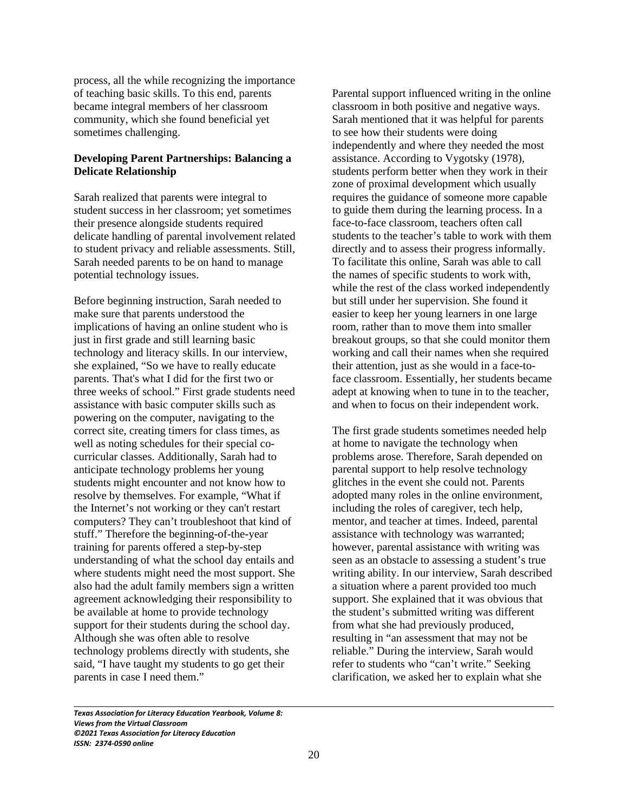process, all the while recognizing the importance of teaching basic skills. To this end, parents became integral members of her classroom community, which she found beneficial yet sometimes challenging.

# **Developing Parent Partnerships: Balancing a Delicate Relationship**

Sarah realized that parents were integral to student success in her classroom; yet sometimes their presence alongside students required delicate handling of parental involvement related to student privacy and reliable assessments. Still, Sarah needed parents to be on hand to manage potential technology issues.

Before beginning instruction, Sarah needed to make sure that parents understood the implications of having an online student who is just in first grade and still learning basic technology and literacy skills. In our interview, she explained, "So we have to really educate parents. That's what I did for the first two or three weeks of school." First grade students need assistance with basic computer skills such as powering on the computer, navigating to the correct site, creating timers for class times, as well as noting schedules for their special cocurricular classes. Additionally, Sarah had to anticipate technology problems her young students might encounter and not know how to resolve by themselves. For example, "What if the Internet's not working or they can't restart computers? They can't troubleshoot that kind of stuff." Therefore the beginning-of-the-year training for parents offered a step-by-step understanding of what the school day entails and where students might need the most support. She also had the adult family members sign a written agreement acknowledging their responsibility to be available at home to provide technology support for their students during the school day. Although she was often able to resolve technology problems directly with students, she said, "I have taught my students to go get their parents in case I need them."

Parental support influenced writing in the online classroom in both positive and negative ways. Sarah mentioned that it was helpful for parents to see how their students were doing independently and where they needed the most assistance. According to Vygotsky (1978), students perform better when they work in their zone of proximal development which usually requires the guidance of someone more capable to guide them during the learning process. In a face-to-face classroom, teachers often call students to the teacher's table to work with them directly and to assess their progress informally. To facilitate this online, Sarah was able to call the names of specific students to work with, while the rest of the class worked independently but still under her supervision. She found it easier to keep her young learners in one large room, rather than to move them into smaller breakout groups, so that she could monitor them working and call their names when she required their attention, just as she would in a face-toface classroom. Essentially, her students became adept at knowing when to tune in to the teacher, and when to focus on their independent work.

The first grade students sometimes needed help at home to navigate the technology when problems arose. Therefore, Sarah depended on parental support to help resolve technology glitches in the event she could not. Parents adopted many roles in the online environment, including the roles of caregiver, tech help, mentor, and teacher at times. Indeed, parental assistance with technology was warranted; however, parental assistance with writing was seen as an obstacle to assessing a student's true writing ability. In our interview, Sarah described a situation where a parent provided too much support. She explained that it was obvious that the student's submitted writing was different from what she had previously produced, resulting in "an assessment that may not be reliable." During the interview, Sarah would refer to students who "can't write." Seeking clarification, we asked her to explain what she

*Texas Association for Literacy Education Yearbook, Volume 8: Views from the Virtual Classroom ©2021 Texas Association for Literacy Education ISSN: 2374-0590 online*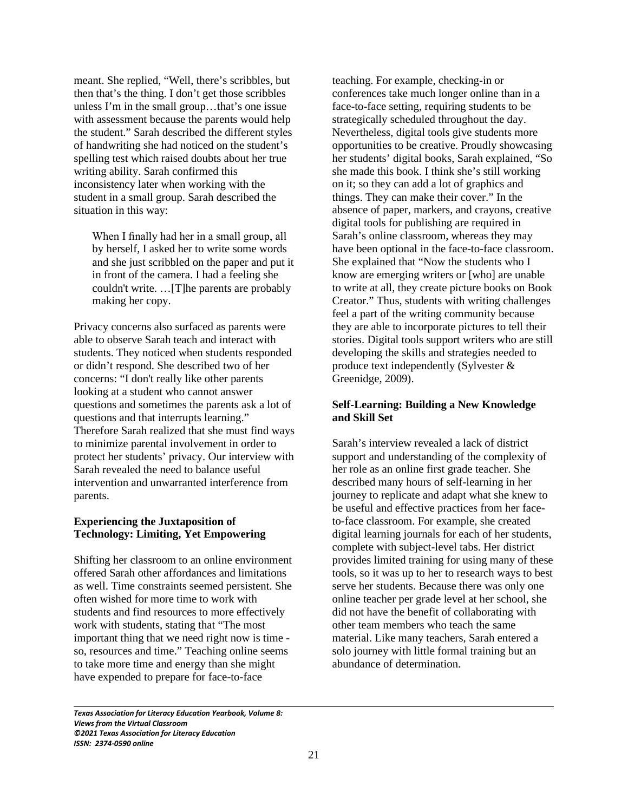meant. She replied, "Well, there's scribbles, but then that's the thing. I don't get those scribbles unless I'm in the small group…that's one issue with assessment because the parents would help the student." Sarah described the different styles of handwriting she had noticed on the student's spelling test which raised doubts about her true writing ability. Sarah confirmed this inconsistency later when working with the student in a small group. Sarah described the situation in this way:

When I finally had her in a small group, all by herself, I asked her to write some words and she just scribbled on the paper and put it in front of the camera. I had a feeling she couldn't write. …[T]he parents are probably making her copy.

Privacy concerns also surfaced as parents were able to observe Sarah teach and interact with students. They noticed when students responded or didn't respond. She described two of her concerns: "I don't really like other parents looking at a student who cannot answer questions and sometimes the parents ask a lot of questions and that interrupts learning." Therefore Sarah realized that she must find ways to minimize parental involvement in order to protect her students' privacy. Our interview with Sarah revealed the need to balance useful intervention and unwarranted interference from parents.

#### **Experiencing the Juxtaposition of Technology: Limiting, Yet Empowering**

Shifting her classroom to an online environment offered Sarah other affordances and limitations as well. Time constraints seemed persistent. She often wished for more time to work with students and find resources to more effectively work with students, stating that "The most important thing that we need right now is time so, resources and time." Teaching online seems to take more time and energy than she might have expended to prepare for face-to-face

teaching. For example, checking-in or conferences take much longer online than in a face-to-face setting, requiring students to be strategically scheduled throughout the day. Nevertheless, digital tools give students more opportunities to be creative. Proudly showcasing her students' digital books, Sarah explained, "So she made this book. I think she's still working on it; so they can add a lot of graphics and things. They can make their cover." In the absence of paper, markers, and crayons, creative digital tools for publishing are required in Sarah's online classroom, whereas they may have been optional in the face-to-face classroom. She explained that "Now the students who I know are emerging writers or [who] are unable to write at all, they create picture books on Book Creator." Thus, students with writing challenges feel a part of the writing community because they are able to incorporate pictures to tell their stories. Digital tools support writers who are still developing the skills and strategies needed to produce text independently (Sylvester & Greenidge, 2009).

## **Self-Learning: Building a New Knowledge and Skill Set**

Sarah's interview revealed a lack of district support and understanding of the complexity of her role as an online first grade teacher. She described many hours of self-learning in her journey to replicate and adapt what she knew to be useful and effective practices from her faceto-face classroom. For example, she created digital learning journals for each of her students, complete with subject-level tabs. Her district provides limited training for using many of these tools, so it was up to her to research ways to best serve her students. Because there was only one online teacher per grade level at her school, she did not have the benefit of collaborating with other team members who teach the same material. Like many teachers, Sarah entered a solo journey with little formal training but an abundance of determination.

*Texas Association for Literacy Education Yearbook, Volume 8: Views from the Virtual Classroom ©2021 Texas Association for Literacy Education ISSN: 2374-0590 online*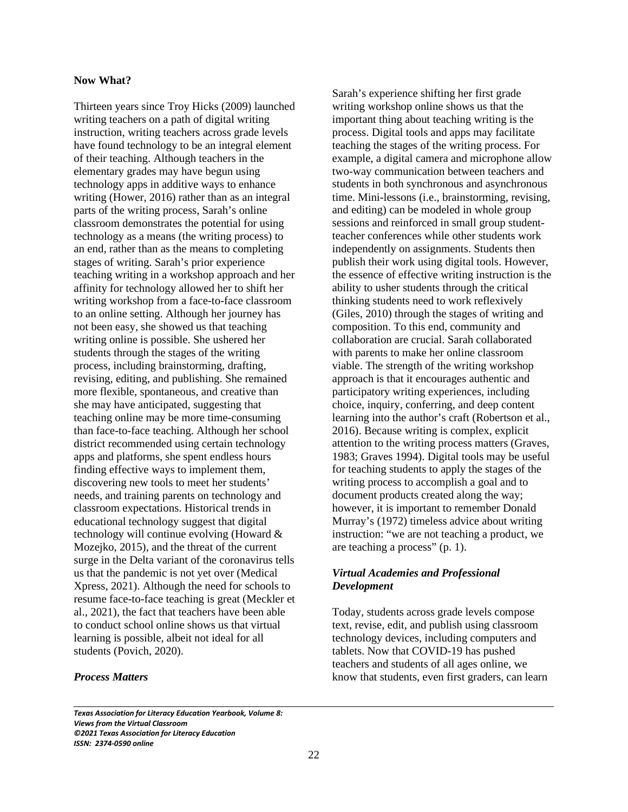## **Now What?**

Thirteen years since Troy Hicks (2009) launched writing teachers on a path of digital writing instruction, writing teachers across grade levels have found technology to be an integral element of their teaching. Although teachers in the elementary grades may have begun using technology apps in additive ways to enhance writing (Hower, 2016) rather than as an integral parts of the writing process, Sarah's online classroom demonstrates the potential for using technology as a means (the writing process) to an end, rather than as the means to completing stages of writing. Sarah's prior experience teaching writing in a workshop approach and her affinity for technology allowed her to shift her writing workshop from a face-to-face classroom to an online setting. Although her journey has not been easy, she showed us that teaching writing online is possible. She ushered her students through the stages of the writing process, including brainstorming, drafting, revising, editing, and publishing. She remained more flexible, spontaneous, and creative than she may have anticipated, suggesting that teaching online may be more time-consuming than face-to-face teaching. Although her school district recommended using certain technology apps and platforms, she spent endless hours finding effective ways to implement them, discovering new tools to meet her students' needs, and training parents on technology and classroom expectations. Historical trends in educational technology suggest that digital technology will continue evolving (Howard & Mozejko, 2015), and the threat of the current surge in the Delta variant of the coronavirus tells us that the pandemic is not yet over (Medical Xpress, 2021). Although the need for schools to resume face-to-face teaching is great (Meckler et al., 2021), the fact that teachers have been able to conduct school online shows us that virtual learning is possible, albeit not ideal for all students (Povich, 2020).

## *Process Matters*

 $\overline{\phantom{0}}$ 

Sarah's experience shifting her first grade writing workshop online shows us that the important thing about teaching writing is the process. Digital tools and apps may facilitate teaching the stages of the writing process. For example, a digital camera and microphone allow two-way communication between teachers and students in both synchronous and asynchronous time. Mini-lessons (i.e., brainstorming, revising, and editing) can be modeled in whole group sessions and reinforced in small group studentteacher conferences while other students work independently on assignments. Students then publish their work using digital tools. However, the essence of effective writing instruction is the ability to usher students through the critical thinking students need to work reflexively (Giles, 2010) through the stages of writing and composition. To this end, community and collaboration are crucial. Sarah collaborated with parents to make her online classroom viable. The strength of the writing workshop approach is that it encourages authentic and participatory writing experiences, including choice, inquiry, conferring, and deep content learning into the author's craft (Robertson et al., 2016). Because writing is complex, explicit attention to the writing process matters (Graves, 1983; Graves 1994). Digital tools may be useful for teaching students to apply the stages of the writing process to accomplish a goal and to document products created along the way; however, it is important to remember Donald Murray's (1972) timeless advice about writing instruction: "we are not teaching a product, we are teaching a process" (p. 1).

# *Virtual Academies and Professional Development*

Today, students across grade levels compose text, revise, edit, and publish using classroom technology devices, including computers and tablets. Now that COVID-19 has pushed teachers and students of all ages online, we know that students, even first graders, can learn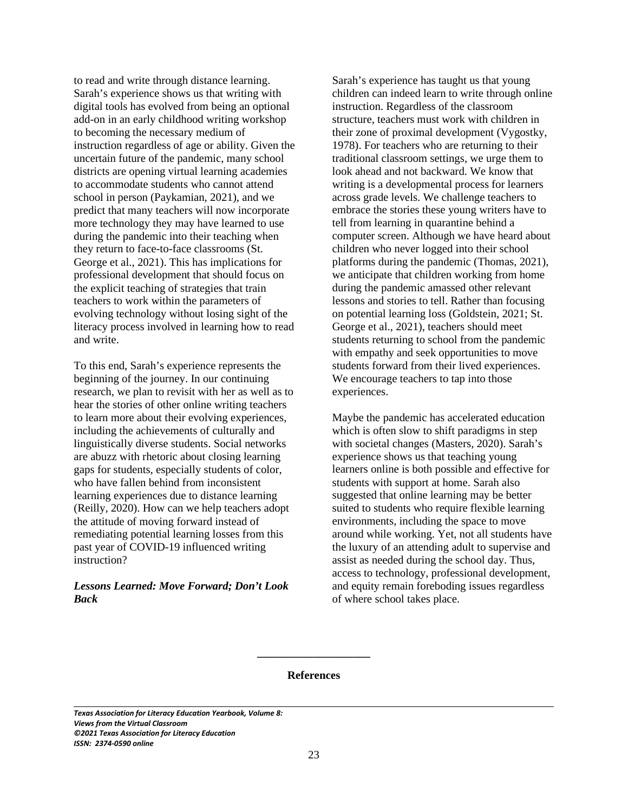to read and write through distance learning. Sarah's experience shows us that writing with digital tools has evolved from being an optional add-on in an early childhood writing workshop to becoming the necessary medium of instruction regardless of age or ability. Given the uncertain future of the pandemic, many school districts are opening virtual learning academies to accommodate students who cannot attend school in person (Paykamian, 2021), and we predict that many teachers will now incorporate more technology they may have learned to use during the pandemic into their teaching when they return to face-to-face classrooms (St. George et al., 2021). This has implications for professional development that should focus on the explicit teaching of strategies that train teachers to work within the parameters of evolving technology without losing sight of the literacy process involved in learning how to read and write.

To this end, Sarah's experience represents the beginning of the journey. In our continuing research, we plan to revisit with her as well as to hear the stories of other online writing teachers to learn more about their evolving experiences, including the achievements of culturally and linguistically diverse students. Social networks are abuzz with rhetoric about closing learning gaps for students, especially students of color, who have fallen behind from inconsistent learning experiences due to distance learning (Reilly, 2020). How can we help teachers adopt the attitude of moving forward instead of remediating potential learning losses from this past year of COVID-19 influenced writing instruction?

## *Lessons Learned: Move Forward; Don't Look Back*

Sarah's experience has taught us that young children can indeed learn to write through online instruction. Regardless of the classroom structure, teachers must work with children in their zone of proximal development (Vygostky, 1978). For teachers who are returning to their traditional classroom settings, we urge them to look ahead and not backward. We know that writing is a developmental process for learners across grade levels. We challenge teachers to embrace the stories these young writers have to tell from learning in quarantine behind a computer screen. Although we have heard about children who never logged into their school platforms during the pandemic (Thomas, 2021), we anticipate that children working from home during the pandemic amassed other relevant lessons and stories to tell. Rather than focusing on potential learning loss (Goldstein, 2021; St. George et al., 2021), teachers should meet students returning to school from the pandemic with empathy and seek opportunities to move students forward from their lived experiences. We encourage teachers to tap into those experiences.

Maybe the pandemic has accelerated education which is often slow to shift paradigms in step with societal changes (Masters, 2020). Sarah's experience shows us that teaching young learners online is both possible and effective for students with support at home. Sarah also suggested that online learning may be better suited to students who require flexible learning environments, including the space to move around while working. Yet, not all students have the luxury of an attending adult to supervise and assist as needed during the school day. Thus, access to technology, professional development, and equity remain foreboding issues regardless of where school takes place.

#### **References**

**\_\_\_\_\_\_\_\_\_\_\_\_\_\_\_\_\_\_\_\_**

*Texas Association for Literacy Education Yearbook, Volume 8: Views from the Virtual Classroom ©2021 Texas Association for Literacy Education ISSN: 2374-0590 online*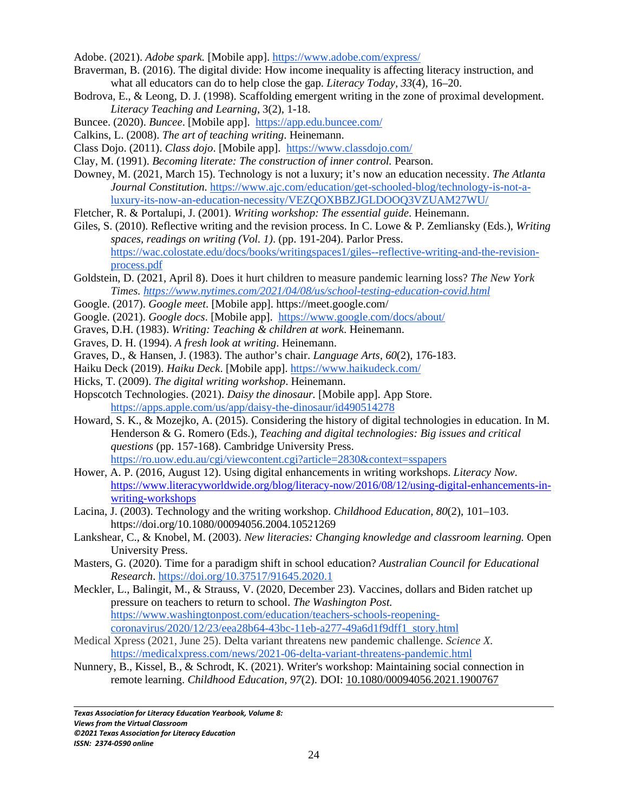Adobe. (2021). *Adobe spark.* [Mobile app]. https://www.adobe.com/express/

- Braverman, B. (2016). The digital divide: How income inequality is affecting literacy instruction, and what all educators can do to help close the gap. *Literacy Today, 33*(4), 16–20.
- Bodrova, E., & Leong, D. J. (1998). Scaffolding emergent writing in the zone of proximal development. *Literacy Teaching and Learning*, 3(2), 1-18.
- Buncee. (2020). *Buncee*. [Mobile app]. https://app.edu.buncee.com/
- Calkins, L. (2008). *The art of teaching writing*. Heinemann.
- Class Dojo. (2011). *Class dojo*. [Mobile app]. https://www.classdojo.com/
- Clay, M. (1991). *Becoming literate: The construction of inner control.* Pearson.

Downey, M. (2021, March 15). Technology is not a luxury; it's now an education necessity. *The Atlanta Journal Constitution*. https://www.ajc.com/education/get-schooled-blog/technology-is-not-aluxury-its-now-an-education-necessity/VEZQOXBBZJGLDOOQ3VZUAM27WU/

Fletcher, R. & Portalupi, J. (2001). *Writing workshop: The essential guide*. Heinemann.

Giles, S. (2010). Reflective writing and the revision process. In C. Lowe & P. Zemliansky (Eds.), *Writing spaces, readings on writing (Vol. 1)*. (pp. 191-204). Parlor Press. https://wac.colostate.edu/docs/books/writingspaces1/giles--reflective-writing-and-the-revisionprocess.pdf

- Goldstein, D. (2021, April 8). Does it hurt children to measure pandemic learning loss? *The New York Times. https://www.nytimes.com/2021/04/08/us/school-testing-education-covid.html*
- Google. (2017). *Google meet*. [Mobile app]. https://meet.google.com/
- Google. (2021). *Google docs*. [Mobile app]. https://www.google.com/docs/about/
- Graves, D.H. (1983). *Writing: Teaching & children at work*. Heinemann.
- Graves, D. H. (1994). *A fresh look at writing*. Heinemann.
- Graves, D., & Hansen, J. (1983). The author's chair. *Language Arts, 60*(2), 176-183.
- Haiku Deck (2019). *Haiku Deck*. [Mobile app]. https://www.haikudeck.com/
- Hicks, T. (2009). *The digital writing workshop*. Heinemann.
- Hopscotch Technologies. (2021). *Daisy the dinosaur.* [Mobile app]. App Store. https://apps.apple.com/us/app/daisy-the-dinosaur/id490514278
- Howard, S. K., & Mozejko, A. (2015). Considering the history of digital technologies in education. In M. Henderson & G. Romero (Eds.), *Teaching and digital technologies: Big issues and critical questions* (pp. 157-168). Cambridge University Press. https://ro.uow.edu.au/cgi/viewcontent.cgi?article=2830&context=sspapers
- Hower, A. P. (2016, August 12). Using digital enhancements in writing workshops. *Literacy Now*. https://www.literacyworldwide.org/blog/literacy-now/2016/08/12/using-digital-enhancements-inwriting-workshops
- Lacina, J. (2003). Technology and the writing workshop. *Childhood Education*, *80*(2), 101–103. https://doi.org/10.1080/00094056.2004.10521269
- Lankshear, C., & Knobel, M. (2003). *New literacies: Changing knowledge and classroom learning.* Open University Press.
- Masters, G. (2020). Time for a paradigm shift in school education? *Australian Council for Educational Research*. https://doi.org/10.37517/91645.2020.1
- Meckler, L., Balingit, M., & Strauss, V. (2020, December 23). Vaccines, dollars and Biden ratchet up pressure on teachers to return to school. *The Washington Post.* https://www.washingtonpost.com/education/teachers-schools-reopeningcoronavirus/2020/12/23/eea28b64-43bc-11eb-a277-49a6d1f9dff1\_story.html
- Medical Xpress (2021, June 25). Delta variant threatens new pandemic challenge. *Science X.* https://medicalxpress.com/news/2021-06-delta-variant-threatens-pandemic.html
- Nunnery, B., Kissel, B., & Schrodt, K. (2021). Writer's workshop: Maintaining social connection in remote learning. *Childhood Education*, *97*(2). DOI: 10.1080/00094056.2021.1900767